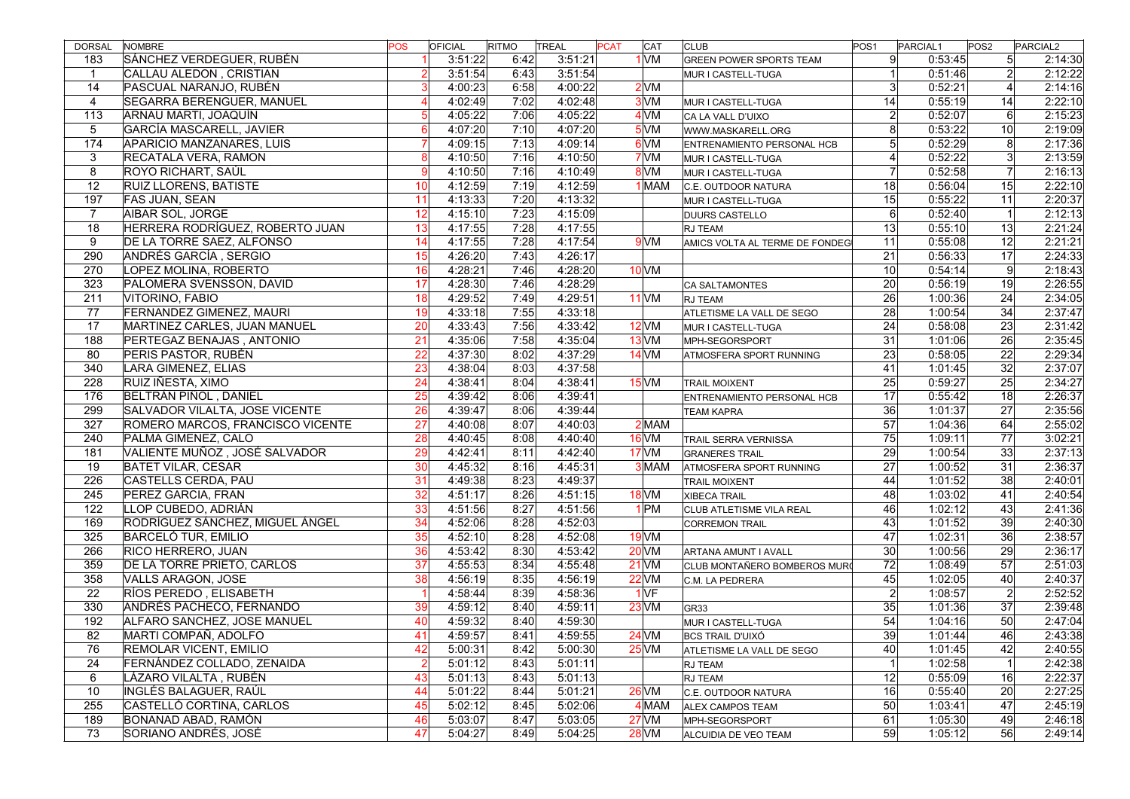| DORSAL          | <b>NOMBRE</b>                     | <b>POS</b>      | <b>OFICIAL</b> | RITMO | TREAL   | <b>PCAT</b> | CAT             | <b>CLUB</b>                    | POS <sub>1</sub> | PARCIAL1 | POS <sub>2</sub> | PARCIAL <sub>2</sub> |
|-----------------|-----------------------------------|-----------------|----------------|-------|---------|-------------|-----------------|--------------------------------|------------------|----------|------------------|----------------------|
| 183             | SÁNCHEZ VERDEGUER, RUBÉN          |                 | 3:51:22        | 6:42  | 3:51:21 |             | $1$ VM          | <b>GREEN POWER SPORTS TEAM</b> | -9               | 0:53:45  | 5 <sup>1</sup>   | 2:14:30              |
| $\mathbf{1}$    | CALLAU ALEDON, CRISTIAN           | $\overline{2}$  | 3:51:54        | 6:43  | 3:51:54 |             |                 | MUR I CASTELL-TUGA             | $\overline{1}$   | 0:51:46  | 2 <sup>1</sup>   | 2:12:22              |
| 14              | PASCUAL NARANJO, RUBÉN            | $\mathbf{3}$    | 4:00:23        | 6:58  | 4:00:22 |             | 2 <sub>VM</sub> |                                | 3                | 0:52:21  | $\left 4\right $ | 2:14:16              |
| $\overline{4}$  | <b>SEGARRA BERENGUER, MANUEL</b>  | $\overline{4}$  | 4:02:49        | 7:02  | 4:02:48 |             | $3$ VM          | MUR I CASTELL-TUGA             | $\overline{14}$  | 0:55:19  | 14               | 2:22:10              |
| 113             | ARNAU MARTI, JOAQUÍN              |                 | 4:05:22        | 7:06  | 4:05:22 |             | $4$ VM          | CA LA VALL D'UIXO              | $\overline{2}$   | 0:52:07  | 6 <sup>1</sup>   | 2:15:23              |
| 5               | GARCÍA MASCARELL, JAVIER          | $6 \mid$        | 4:07:20        | 7:10  | 4:07:20 |             | $5$ VM          | WWW.MASKARELL.ORG              | 8                | 0:53:22  | 10 <sup>1</sup>  | 2:19:09              |
| 174             | APARICIO MANZANARES, LUIS         | $\overline{7}$  | 4:09:15        | 7:13  | 4:09:14 |             | $6$ VM          | ENTRENAMIENTO PERSONAL HCB     | $5\overline{)}$  | 0:52:29  | 8 <sup>1</sup>   | 2:17:36              |
| 3               | RECATALA VERA, RAMON              | 8               | 4:10:50        | 7:16  | 4:10:50 |             | 7 <sub>VM</sub> | MUR I CASTELL-TUGA             | $\overline{4}$   | 0:52:22  | 3 <sup>1</sup>   | 2:13:59              |
| 8               | ROYO RICHART, SAÚL                | 9               | 4:10:50        | 7:16  | 4:10:49 |             | 8VM             | MUR I CASTELL-TUGA             | $\overline{7}$   | 0:52:58  | $\overline{7}$   | 2:16:13              |
| $\overline{12}$ | RUIZ LLORENS, BATISTE             | 10 <sup>1</sup> | 4:12:59        | 7:19  | 4:12:59 |             | <b>MAM</b>      | C.E. OUTDOOR NATURA            | 18               | 0:56:04  | 15               | 2:22:10              |
| 197             | FAS JUAN, SEAN                    | 11              | 4:13:33        | 7:20  | 4:13:32 |             |                 | MUR I CASTELL-TUGA             | 15               | 0:55:22  | 11               | 2:20:37              |
| $\overline{7}$  | <b>AIBAR SOL, JORGE</b>           | 12              | 4:15:10        | 7:23  | 4:15:09 |             |                 | DUURS CASTELLO                 | 6                | 0:52:40  | 1                | 2:12:13              |
| 18              | HERRERA RODRÍGUEZ, ROBERTO JUAN   | 13              | 4:17:55        | 7:28  | 4:17:55 |             |                 | <b>RJ TEAM</b>                 | 13               | 0:55:10  | 13 <sup>1</sup>  | 2:21:24              |
| 9               | DE LA TORRE SAEZ, ALFONSO         | 14              | 4:17:55        | 7:28  | 4:17:54 |             | 9 <sub>VM</sub> | AMICS VOLTA AL TERME DE FONDEG | 11               | 0:55:08  | 12 <sup>1</sup>  | 2:21:21              |
| 290             | ANDRÉS GARCÍA, SERGIO             | 15              | 4:26:20        | 7:43  | 4:26:17 |             |                 |                                | 21               | 0:56:33  | 17               | 2:24:33              |
| 270             | LOPEZ MOLINA, ROBERTO             | 16              | 4:28:21        | 7:46  | 4:28:20 |             | $10$ VM         |                                | 10               | 0:54:14  | 9                | 2:18:43              |
| 323             | PALOMERA SVENSSON, DAVID          | 17              | 4:28:30        | 7:46  | 4:28:29 |             |                 | <b>CA SALTAMONTES</b>          | 20               | 0:56:19  | 19               | 2:26:55              |
| 211             | VITORINO, FABIO                   | 18              | 4:29:52        | 7:49  | 4:29:51 |             | $11$ VM         | <b>RJ TEAM</b>                 | $\overline{26}$  | 1:00:36  | 24               | 2:34:05              |
| 77              | <b>FERNANDEZ GIMENEZ, MAURI</b>   | 19              | 4:33:18        | 7:55  | 4:33:18 |             |                 | ATLETISME LA VALL DE SEGO      | $\overline{28}$  | 1:00:54  | 34               | 2:37:47              |
| 17              | MARTINEZ CARLES, JUAN MANUEL      | 20              | 4:33:43        | 7:56  | 4:33:42 |             | $12$ VM         | MUR I CASTELL-TUGA             | 24               | 0:58:08  | $\overline{23}$  | 2:31:42              |
| 188             | PERTEGAZ BENAJAS, ANTONIO         | $\overline{21}$ | 4:35:06        | 7:58  | 4:35:04 |             | $13$ VM         | MPH-SEGORSPORT                 | $\overline{31}$  | 1:01:06  | 26               | 2:35:45              |
| 80              | PERIS PASTOR, RUBÉN               | $\overline{22}$ | 4:37:30        | 8:02  | 4:37:29 |             | $14$ VM         | ATMOSFERA SPORT RUNNING        | $\overline{23}$  | 0:58:05  | $\overline{22}$  | 2:29:34              |
| 340             | LARA GIMENEZ, ELIAS               | 23              | 4:38:04        | 8:03  | 4:37:58 |             |                 |                                | 41               | 1:01:45  | 32               | 2:37:07              |
| 228             | RUIZ IÑESTA, XIMO                 | $\overline{24}$ | 4:38:41        | 8:04  | 4:38:41 |             | $15$ VM         | <b>TRAIL MOIXENT</b>           | $\overline{25}$  | 0:59:27  | 25               | 2:34:27              |
| 176             | <b>BELTRÁN PIÑOL, DANIEL</b>      | 25              | 4:39:42        | 8:06  | 4:39:41 |             |                 | ENTRENAMIENTO PERSONAL HCB     | 17               | 0:55:42  | 18               | 2:26:37              |
| 299             | SALVADOR VILALTA, JOSE VICENTE    | 26              | 4:39:47        | 8:06  | 4:39:44 |             |                 | <b>TEAM KAPRA</b>              | 36               | 1:01:37  | 27               | 2:35:56              |
| 327             | ROMERO MARCOS, FRANCISCO VICENTE  | $\overline{27}$ | 4:40:08        | 8:07  | 4:40:03 |             | 2MAM            |                                | 57               | 1:04:36  | 64               | 2:55:02              |
| 240             | PALMA GIMENEZ, CALO               | 28              | 4:40:45        | 8:08  | 4:40:40 |             | $16$ VM         | TRAIL SERRA VERNISSA           | 75               | 1:09:11  | $\overline{77}$  | 3:02:21              |
| 181             | VALIENTE MUÑOZ, JOSÉ SALVADOR     | $\overline{29}$ | 4:42:41        | 8:11  | 4:42:40 |             | $17$ VM         | <b>GRANERES TRAIL</b>          | $\overline{29}$  | 1:00:54  | $33$             | 2:37:13              |
| 19              | <b>BATET VILAR, CESAR</b>         | 30              | 4:45:32        | 8:16  | 4:45:31 |             | 3 MAM           | ATMOSFERA SPORT RUNNING        | $\overline{27}$  | 1:00:52  | 31               | 2:36:37              |
| 226             | CASTELLS CERDA, PAU               | 31              | 4:49:38        | 8:23  | 4:49:37 |             |                 | <b>TRAIL MOIXENT</b>           | 44               | 1:01:52  | 38               | 2:40:01              |
| 245             | PEREZ GARCIA, FRAN                | $\overline{32}$ | 4:51:17        | 8:26  | 4:51:15 |             | $18$ VM         | <b>XIBECA TRAIL</b>            | 48               | 1:03:02  | 41               | 2:40:54              |
| 122             | LLOP CUBEDO, ADRIÁN               | $\overline{33}$ | 4:51:56        | 8:27  | 4:51:56 |             | $1$ $PM$        | CLUB ATLETISME VILA REAL       | 46               | 1:02:12  | 43               | 2:41:36              |
| 169             | RODRÍGUEZ SÁNCHEZ, MIGUEL ÁNGEL   | 34              | 4:52:06        | 8:28  | 4:52:03 |             |                 | <b>CORREMON TRAIL</b>          | 43               | 1:01:52  | $39$             | 2:40:30              |
| 325             | <b>BARCELÓ TUR, EMILIO</b>        | 35              | 4:52:10        | 8:28  | 4:52:08 |             | $19$ VM         |                                | 47               | 1:02:31  | 36               | 2:38:57              |
| 266             | <b>RICO HERRERO, JUAN</b>         | 36              | 4:53:42        | 8:30  | 4:53:42 |             | <b>20 VM</b>    | ARTANA AMUNT I AVALL           | 30               | 1:00:56  | 29               | 2:36:17              |
| 359             | <b>DE LA TORRE PRIETO, CARLOS</b> | 37              | 4:55:53        | 8:34  | 4:55:48 |             | $21$ VM         | CLUB MONTAÑERO BOMBEROS MURO   | $\overline{72}$  | 1:08:49  | 57               | 2:51:03              |
| 358             | VALLS ARAGON, JOSE                | 38              | 4:56:19        | 8:35  | 4:56:19 |             | $22$ VM         | C.M. LA PEDRERA                | 45               | 1:02:05  | 40               | 2:40:37              |
| 22              | RÍOS PEREDO, ELISABETH            |                 | 4:58:44        | 8:39  | 4:58:36 |             | 1VF             |                                | $\overline{2}$   | 1:08:57  | $\overline{2}$   | 2:52:52              |
| 330             | ANDRÉS PACHECO, FERNANDO          | 39              | 4:59:12        | 8:40  | 4:59:11 |             | $23$ VM         | GR <sub>33</sub>               | 35               | 1:01:36  | 37               | 2:39:48              |
| 192             | ALFARO SANCHEZ, JOSE MANUEL       | 40              | 4:59:32        | 8:40  | 4:59:30 |             |                 | MUR I CASTELL-TUGA             | 54               | 1:04:16  | 50               | 2:47:04              |
| 82              | MARTI COMPAÑ, ADOLFO              | 41              | 4:59:57        | 8:41  | 4:59:55 |             | 24 VM           | <b>BCS TRAIL D'UIXÓ</b>        | 39               | 1:01:44  | 46               | 2:43:38              |
| 76              | <b>REMOLAR VICENT, EMILIO</b>     | 42              | 5:00:31        | 8:42  | 5:00:30 |             | $25$ VM         | ATLETISME LA VALL DE SEGO      | 40               | 1:01:45  | 42               | 2:40:55              |
| 24              | FERNÁNDEZ COLLADO, ZENAIDA        | $\overline{2}$  | 5:01:12        | 8:43  | 5:01:11 |             |                 | <b>RJ TEAM</b>                 | $\overline{1}$   | 1:02:58  | 1                | 2:42:38              |
| 6               | LÁZARO VILALTA, RUBÉN             | 43              | 5:01:13        | 8:43  | 5:01:13 |             |                 | RJ TEAM                        | 12               | 0:55:09  | 16               | 2:22:37              |
| 10              | <b>INGLÉS BALAGUER, RAÚL</b>      | 44              | 5:01:22        | 8:44  | 5:01:21 |             | $26$ VM         | C.E. OUTDOOR NATURA            | 16               | 0:55:40  | 20               | 2:27:25              |
| 255             | CASTELLÓ CORTINA, CARLOS          | 45              | 5:02:12        | 8:45  | 5:02:06 |             | 4 MAM           | <b>ALEX CAMPOS TEAM</b>        | 50               | 1:03:41  | 47               | 2:45:19              |
| 189             | BONANAD ABAD, RAMÓN               | 46              | 5:03:07        | 8:47  | 5:03:05 |             | $27$ VM         | MPH-SEGORSPORT                 | 61               | 1:05:30  | 49               | 2:46:18              |
| 73              | SORIANO ANDRÉS, JOSÉ              | 47              | 5:04:27        | 8:49  | 5:04:25 |             | $28$ VM         | ALCUIDIA DE VEO TEAM           | 59               | 1:05:12  | 56               | 2:49:14              |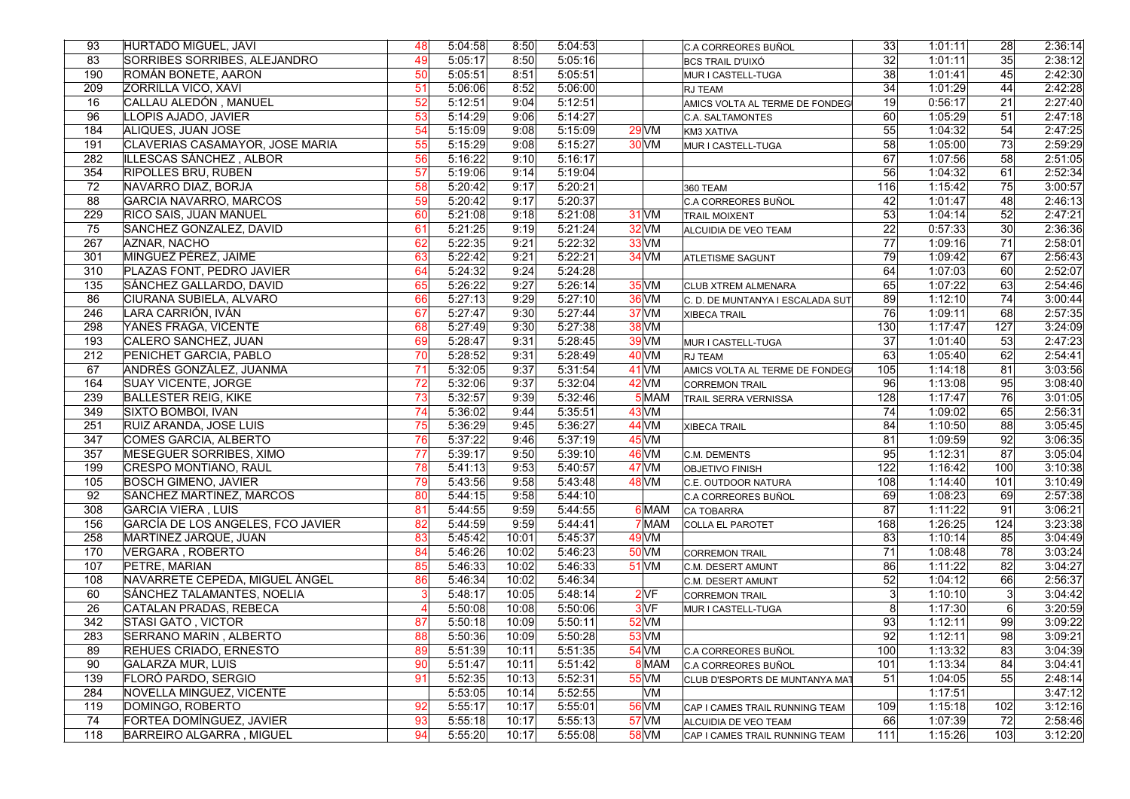| 93  | <b>HURTADO MIGUEL, JAVI</b>                                  | 48       | 5:04:58            | 8:50  | 5:04:53 |                  |       | C.A CORREORES BUÑOL              | 33                   | 1:01:11 | 28              | 2:36:14            |
|-----|--------------------------------------------------------------|----------|--------------------|-------|---------|------------------|-------|----------------------------------|----------------------|---------|-----------------|--------------------|
| 83  | <b>SORRIBES SORRIBES, ALEJANDRO</b>                          | 49       | 5:05:17            | 8:50  | 5:05:16 |                  |       | <b>BCS TRAIL D'UIXÓ</b>          | 32                   | 1:01:11 | 35              | 2:38:12            |
| 190 | ROMÁN BONETE, AARON                                          | 50       | 5:05:51            | 8:51  | 5:05:51 |                  |       | MUR I CASTELL-TUGA               | 38                   | 1:01:41 | 45              | 2:42:30            |
| 209 | <b>ZORRILLA VICO, XAVI</b>                                   | 51       | 5:06:06            | 8:52  | 5:06:00 |                  |       | RJ TEAM                          | 34                   | 1:01:29 | 44              | 2:42:28            |
| 16  | CALLAU ALEDÓN, MANUEL                                        | 52       | 5:12:51            | 9:04  | 5:12:51 |                  |       | AMICS VOLTA AL TERME DE FONDEG   | 19                   | 0:56:17 | 21              | 2:27:40            |
| 96  | LLOPIS AJADO, JAVIER                                         | 53       | 5:14:29            | 9:06  | 5:14:27 |                  |       | C.A. SALTAMONTES                 | 60                   | 1:05:29 | 51              | 2:47:18            |
| 184 | ALIQUES, JUAN JOSE                                           | 54       | 5:15:09            | 9:08  | 5:15:09 | $29$ VM          |       | KM3 XATIVA                       | 55                   | 1:04:32 | 54              | 2:47:25            |
| 191 | CLAVERIAS CASAMAYOR, JOSE MARIA                              | 55       | 5:15:29            | 9:08  | 5:15:27 | <b>30 VM</b>     |       | MUR I CASTELL-TUGA               | 58                   | 1:05:00 | 73              | 2:59:29            |
| 282 | ILLESCAS SÁNCHEZ, ALBOR                                      | 56       | 5:16:22            | 9:10  | 5:16:17 |                  |       |                                  | 67                   | 1:07:56 | 58              | 2:51:05            |
| 354 | <b>RIPOLLES BRU, RUBEN</b>                                   | 57       | 5:19:06            | 9:14  | 5:19:04 |                  |       |                                  | 56                   | 1:04:32 | 61              | 2:52:34            |
| 72  | NAVARRO DIAZ, BORJA                                          | 58       | 5:20:42            | 9:17  | 5:20:21 |                  |       | 360 TEAM                         | 116                  | 1:15:42 | 75              | 3:00:57            |
| 88  | <b>GARCIA NAVARRO, MARCOS</b>                                | 59       | 5:20:42            | 9:17  | 5:20:37 |                  |       | C.A CORREORES BUÑOL              | 42                   | 1:01:47 | 48              | 2:46:13            |
| 229 | <b>RICO SAIS, JUAN MANUEL</b>                                | 60       | 5:21:08            | 9:18  | 5:21:08 | <b>31 VM</b>     |       | <b>TRAIL MOIXENT</b>             | 53                   | 1:04:14 | 52              | 2:47:21            |
| 75  | SANCHEZ GONZALEZ, DAVID                                      | 61       | 5:21:25            | 9:19  | 5:21:24 | $32$ VM          |       | ALCUIDIA DE VEO TEAM             | 22                   | 0:57:33 | 30 <sup>1</sup> | 2:36:36            |
| 267 | AZNAR, NACHO                                                 | 62       | 5:22:35            | 9:21  | 5:22:32 | $33$ VM          |       |                                  | $\overline{77}$      | 1:09:16 | 71              | 2:58:01            |
| 301 | MINGUEZ PÉREZ, JAIME                                         | 63       | 5:22:42            | 9:21  | 5:22:21 | <b>34 VM</b>     |       | <b>ATLETISME SAGUNT</b>          | 79                   | 1:09:42 | 67              | 2:56:43            |
| 310 | PLAZAS FONT, PEDRO JAVIER                                    | 64       | 5:24:32            | 9:24  | 5:24:28 |                  |       |                                  | 64                   | 1:07:03 | 60              | 2:52:07            |
| 135 | SÁNCHEZ GALLARDO, DAVID                                      | 65       | 5:26:22            | 9:27  | 5:26:14 | <b>35 VM</b>     |       | <b>CLUB XTREM ALMENARA</b>       | 65                   | 1:07:22 | 63              | 2:54:46            |
| 86  | CIURANA SUBIELA, ALVARO                                      | 66       | 5:27:13            | 9:29  | 5:27:10 | 36 VM            |       | C. D. DE MUNTANYA I ESCALADA SUT | 89                   | 1:12:10 | 74              | 3:00:44            |
| 246 | LARA CARRIÓN, IVÁN                                           | 67       | 5:27:47            | 9:30  | 5:27:44 | $37$ VM          |       | XIBECA TRAIL                     | 76                   | 1:09:11 | 68              | 2:57:35            |
| 298 | YANES FRAGA, VICENTE                                         | 68       | 5:27:49            | 9:30  | 5:27:38 | $38$ VM          |       |                                  | 130                  | 1:17:47 | 127             | 3:24:09            |
| 193 | CALERO SANCHEZ, JUAN                                         | 69       | 5:28:47            | 9:31  | 5:28:45 | $39$ VM          |       | MUR I CASTELL-TUGA               | $\overline{37}$      | 1:01:40 | 53              | 2:47:23            |
| 212 | PENICHET GARCIA, PABLO                                       | 70       | 5:28:52            | 9:31  | 5:28:49 | $40$ VM          |       | RJ TEAM                          | 63                   | 1:05:40 | 62              | 2:54:41            |
| 67  | ANDRÉS GONZÁLEZ, JUANMA                                      | 71       | 5:32:05            | 9:37  | 5:31:54 | $41$ VM          |       | AMICS VOLTA AL TERME DE FONDEG   | 105                  | 1:14:18 | 81              | 3:03:56            |
| 164 | <b>SUAY VICENTE, JORGE</b>                                   | 72       | 5:32:06            | 9:37  | 5:32:04 | $42$ VM          |       | <b>CORREMON TRAIL</b>            | 96                   | 1:13:08 | $\overline{95}$ | 3:08:40            |
| 239 | <b>BALLESTER REIG, KIKE</b>                                  | 73       | 5:32:57            | 9:39  | 5:32:46 |                  | 5 MAM |                                  | 128                  | 1:17:47 | 76              | 3:01:05            |
| 349 | SIXTO BOMBOI, IVAN                                           | 74       | 5:36:02            | 9:44  | 5:35:51 | $43$ VM          |       | <b>TRAIL SERRA VERNISSA</b>      | 74                   | 1:09:02 | 65              | 2:56:31            |
| 251 | RUIZ ARANDA, JOSE LUIS                                       | 75       | 5:36:29            | 9:45  | 5:36:27 | <b>44 VM</b>     |       |                                  | 84                   | 1:10:50 | 88              | 3:05:45            |
| 347 | COMES GARCIA, ALBERTO                                        | 76       | 5:37:22            | 9:46  | 5:37:19 | $45$ VM          |       | <b>XIBECA TRAIL</b>              | 81                   | 1:09:59 | 92              | 3:06:35            |
| 357 | MESEGUER SORRIBES, XIMO                                      | 77       | 5:39:17            | 9:50  | 5:39:10 | 46 VM            |       |                                  | 95                   | 1:12:31 | 87              | 3:05:04            |
| 199 | CRESPO MONTIANO, RAUL                                        | 78       | 5:41:13            | 9:53  | 5:40:57 | 47 <sub>VM</sub> |       | C.M. DEMENTS                     | 122                  | 1:16:42 | 100             | 3:10:38            |
| 105 | <b>BOSCH GIMENO, JAVIER</b>                                  | 79       | 5:43:56            | 9:58  | 5:43:48 | <b>48 VM</b>     |       | <b>OBJETIVO FINISH</b>           | 108                  | 1:14:40 | 101             |                    |
| 92  | SANCHEZ MARTINEZ, MARCOS                                     | 80       | 5:44:15            | 9:58  | 5:44:10 |                  |       | C.E. OUTDOOR NATURA              | 69                   | 1:08:23 | 69              | 3:10:49<br>2:57:38 |
| 308 | <b>GARCIA VIERA, LUIS</b>                                    | 81       | 5:44:55            | 9:59  | 5:44:55 |                  | 6 MAM | C.A CORREORES BUÑOL              | 87                   | 1:11:22 | 91              | 3:06:21            |
|     |                                                              |          |                    |       |         |                  |       | CA TOBARRA                       |                      |         |                 | 3:23:38            |
| 156 | GARCÍA DE LOS ANGELES, FCO JAVIER                            | 82       | 5:44:59            | 9:59  | 5:44:41 |                  | 7 MAM | COLLA EL PAROTET                 | 168<br> 83           | 1:26:25 | 124             |                    |
| 258 | MARTINEZ JARQUE, JUAN                                        | 83<br>84 | 5:45:42            | 10:01 | 5:45:37 | $49$ VM          |       |                                  | $\overline{71}$      | 1:10:14 | 85<br>78        | 3:04:49            |
| 170 | VERGARA, ROBERTO                                             |          | 5:46:26            | 10:02 | 5:46:23 | $50$ VM          |       | <b>CORREMON TRAIL</b>            |                      | 1:08:48 |                 | 3:03:24            |
| 107 | PETRE, MARIAN                                                | 85       | 5:46:33            | 10:02 | 5:46:33 | <b>51 VM</b>     |       | C.M. DESERT AMUNT                | 86                   | 1:11:22 | 82              | 3:04:27            |
| 108 | NAVARRETE CEPEDA, MIGUEL ÁNGEL<br>SÁNCHEZ TALAMANTES, NOELIA | 86<br>3  | 5:46:34            | 10:02 | 5:46:34 |                  |       | C.M. DESERT AMUNT                | 52<br>$\overline{3}$ | 1:04:12 | 66              | 2:56:37            |
| 60  | CATALAN PRADAS, REBECA                                       |          | 5:48:17<br>5:50:08 | 10:05 | 5:48:14 | 2VF              |       | <b>CORREMON TRAIL</b>            | $\overline{8}$       | 1:10:10 | 3               | 3:04:42            |
| 26  |                                                              | 87       |                    | 10:08 | 5:50:06 | 3 <sub>VF</sub>  |       | MUR I CASTELL-TUGA               |                      | 1:17:30 | 6 <sup>1</sup>  | 3:20:59            |
| 342 | <b>STASI GATO, VICTOR</b>                                    |          | 5:50:18            | 10:09 | 5:50:11 | $52$ VM          |       |                                  | 93<br> 92            | 1:12:11 | $\overline{99}$ | 3:09:22            |
| 283 | SERRANO MARIN, ALBERTO                                       | 88       | 5:50:36            | 10:09 | 5:50:28 | <b>53 VM</b>     |       |                                  |                      | 1:12:11 | 98              | 3:09:21            |
| 89  | <b>REHUES CRIADO, ERNESTO</b>                                | 89       | 5:51:39            | 10:11 | 5:51:35 | $54$ VM          |       | C.A CORREORES BUÑOL              | 100                  | 1:13:32 | 83              | 3:04:39            |
| 90  | <b>GALARZA MUR, LUIS</b>                                     | 90       | 5:51:47            | 10:11 | 5:51:42 |                  | 8 MAM | C.A CORREORES BUÑOL              | 101                  | 1:13:34 | 84              | 3:04:41            |
| 139 | FLORÓ PARDO, SERGIO                                          | 91       | 5:52:35            | 10:13 | 5:52:31 | <b>55 VM</b>     |       | CLUB D'ESPORTS DE MUNTANYA MAT   | 51                   | 1:04:05 | 55              | 2:48:14            |
| 284 | NOVELLA MINGUEZ, VICENTE                                     |          | 5:53:05            | 10:14 | 5:52:55 |                  | VM    |                                  |                      | 1:17:51 |                 | 3:47:12            |
| 119 | DOMINGO, ROBERTO                                             | 92       | 5:55:17            | 10:17 | 5:55:01 | <b>56 VM</b>     |       | CAP I CAMES TRAIL RUNNING TEAM   | 109                  | 1:15:18 | 102             | 3:12:16            |
| 74  | FORTEA DOMÍNGUEZ, JAVIER                                     | 93       | 5:55:18            | 10:17 | 5:55:13 | 57 VM            |       | ALCUIDIA DE VEO TEAM             | 66                   | 1:07:39 | 72              | 2:58:46            |
| 118 | <b>BARREIRO ALGARRA, MIGUEL</b>                              | 94       | 5:55:20            | 10:17 | 5:55:08 | <b>58 VM</b>     |       | CAP I CAMES TRAIL RUNNING TEAM   | 111                  | 1:15:26 | 103             | 3:12:20            |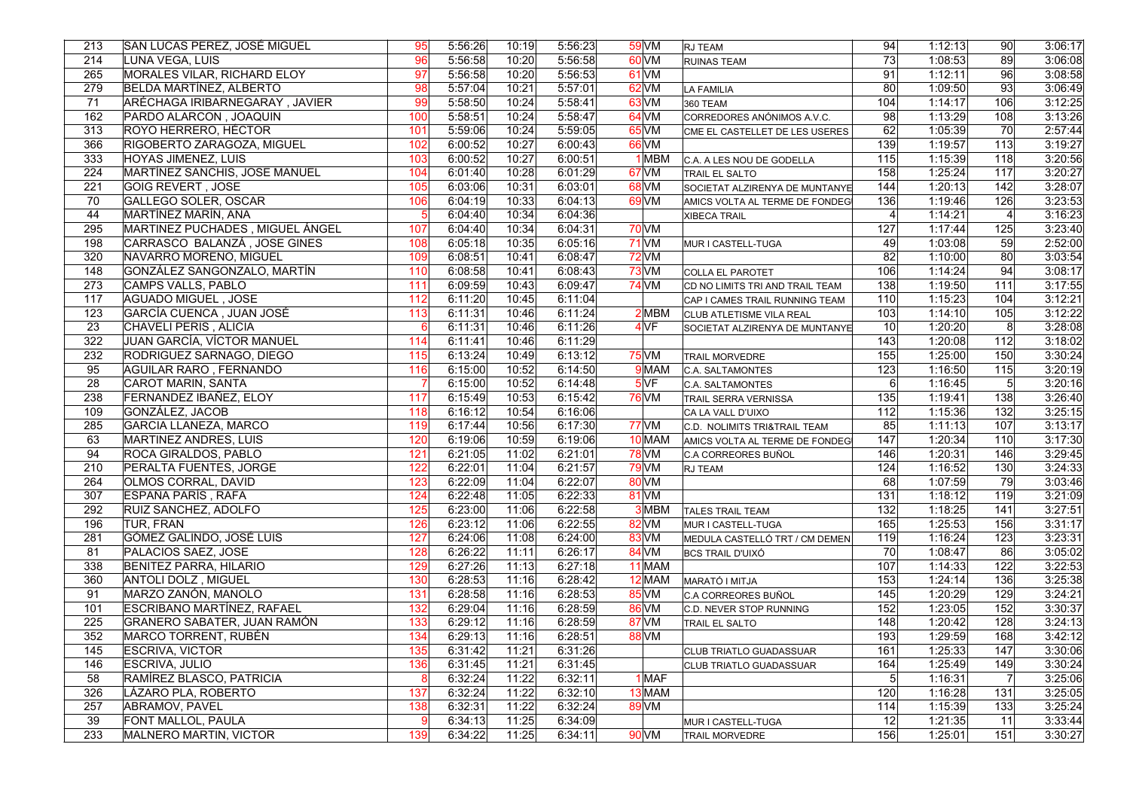| 213 | SAN LUCAS PEREZ, JOSÉ MIGUEL       | 95  | 5:56:26 | 10:19 | 5:56:23 | 59 VM            | <b>RJ TEAM</b>                  | 94              | 1:12:13 | 90              | 3:06:17 |
|-----|------------------------------------|-----|---------|-------|---------|------------------|---------------------------------|-----------------|---------|-----------------|---------|
| 214 | LUNA VEGA, LUIS                    | 96  | 5:56:58 | 10:20 | 5:56:58 | $60$ VM          | <b>RUINAS TEAM</b>              | $\overline{73}$ | 1:08:53 | $\overline{89}$ | 3:06:08 |
| 265 | MORALES VILAR, RICHARD ELOY        | 97  | 5:56:58 | 10:20 | 5:56:53 | $61$ VM          |                                 | 91              | 1:12:11 | 96              | 3:08:58 |
| 279 | BELDA MARTÍNEZ, ALBERTO            | 98  | 5:57:04 | 10:21 | 5:57:01 | $62$ VM          | LA FAMILIA                      | 80              | 1:09:50 | $\overline{93}$ | 3:06:49 |
| 71  | ARÉCHAGA IRIBARNEGARAY, JAVIER     | 99  | 5:58:50 | 10:24 | 5:58:41 | 63 VM            | 360 TEAM                        | 104             | 1:14:17 | 106             | 3:12:25 |
| 162 | PARDO ALARCON, JOAQUIN             | 100 | 5:58:51 | 10:24 | 5:58:47 | 64 <sub>VM</sub> | CORREDORES ANÓNIMOS A.V.C.      | 98              | 1:13:29 | 108             | 3:13:26 |
| 313 | ROYO HERRERO, HÉCTOR               | 101 | 5:59:06 | 10:24 | 5:59:05 | 65 VM            | CME EL CASTELLET DE LES USERES  | 62              | 1:05:39 | 70              | 2:57:44 |
| 366 | RIGOBERTO ZARAGOZA, MIGUEL         | 102 | 6:00:52 | 10:27 | 6:00:43 | 66 VM            |                                 | 139             | 1:19:57 | 113             | 3:19:27 |
| 333 | <b>HOYAS JIMENEZ, LUIS</b>         | 103 | 6:00:52 | 10:27 | 6:00:51 | 1 MBM            | C.A. A LES NOU DE GODELLA       | 115             | 1:15:39 | 118             | 3:20:56 |
| 224 | MARTINEZ SANCHIS, JOSE MANUEL      | 104 | 6:01:40 | 10:28 | 6:01:29 | 67 <sub>VM</sub> | TRAIL EL SALTO                  | 158             | 1:25:24 | 117             | 3:20:27 |
| 221 | GOIG REVERT, JOSE                  | 105 | 6:03:06 | 10:31 | 6:03:01 | 68 VM            | SOCIETAT ALZIRENYA DE MUNTANYE  | 144             | 1:20:13 | 142             | 3:28:07 |
| 70  | <b>GALLEGO SOLER, OSCAR</b>        | 106 | 6:04:19 | 10:33 | 6:04:13 | $69$ VM          | AMICS VOLTA AL TERME DE FONDEGI | 136             | 1:19:46 | 126             | 3:23:53 |
| 44  | MARTÍNEZ MARÍN, ANA                |     | 6:04:40 | 10:34 | 6:04:36 |                  | <b>XIBECA TRAIL</b>             | $\vert$         | 1:14:21 | $\vert$         | 3:16:23 |
| 295 | MARTINEZ PUCHADES, MIGUEL ÁNGEL    | 107 | 6:04:40 | 10:34 | 6:04:31 | <b>70 VM</b>     |                                 | 127             | 1:17:44 | 125             | 3:23:40 |
| 198 | CARRASCO BALANZÁ, JOSE GINES       | 108 | 6:05:18 | 10:35 | 6:05:16 | $71$ VM          | MUR I CASTELL-TUGA              | 49              | 1:03:08 | 59              | 2:52:00 |
| 320 | NAVARRO MORENO, MIGUEL             | 109 | 6:08:51 | 10:41 | 6:08:47 | $72$ VM          |                                 | 82              | 1:10:00 | 80              | 3:03:54 |
| 148 | GONZÁLEZ SANGONZALO, MARTÍN        | 110 | 6:08:58 | 10:41 | 6:08:43 | $73$ VM          | COLLA EL PAROTET                | 106             | 1:14:24 | 94              | 3:08:17 |
| 273 | CAMPS VALLS, PABLO                 | 111 | 6:09:59 | 10:43 | 6:09:47 | <b>74 VM</b>     | CD NO LIMITS TRI AND TRAIL TEAM | 138             | 1:19:50 | 111             | 3:17:55 |
| 117 | <b>AGUADO MIGUEL, JOSE</b>         | 112 | 6:11:20 | 10:45 | 6:11:04 |                  | CAP I CAMES TRAIL RUNNING TEAM  | 110             | 1:15:23 | 104             | 3:12:21 |
| 123 | GARCÍA CUENCA, JUAN JOSÉ           | 113 | 6:11:31 | 10:46 | 6:11:24 | 2MBM             | CLUB ATLETISME VILA REAL        | 103             | 1:14:10 | 105             | 3:12:22 |
| 23  | CHAVELI PERIS, ALICIA              | 6   | 6:11:31 | 10:46 | 6:11:26 | 4VF              | SOCIETAT ALZIRENYA DE MUNTANYE  | 10 <sup>1</sup> | 1:20:20 | 8 <sup>°</sup>  | 3:28:08 |
| 322 | JUAN GARCÍA, VÍCTOR MANUEL         | 114 | 6:11:41 | 10:46 | 6:11:29 |                  |                                 | 143             | 1:20:08 | 112             | 3:18:02 |
| 232 | RODRIGUEZ SARNAGO, DIEGO           | 115 | 6:13:24 | 10:49 | 6:13:12 | <b>75 VM</b>     | <b>TRAIL MORVEDRE</b>           | 155             | 1:25:00 | 150             | 3:30:24 |
| 95  | <b>AGUILAR RARO, FERNANDO</b>      | 116 | 6:15:00 | 10:52 | 6:14:50 | 9 MAM            | C.A. SALTAMONTES                | 123             | 1:16:50 | 115             | 3:20:19 |
| 28  | CAROT MARIN, SANTA                 |     | 6:15:00 | 10:52 | 6:14:48 | 5VF              | C.A. SALTAMONTES                | 6 <sup>1</sup>  | 1:16:45 | 5 <sup>1</sup>  | 3:20:16 |
| 238 | FERNANDEZ IBAÑEZ, ELOY             | 117 | 6:15:49 | 10:53 | 6:15:42 | <b>76 VM</b>     | <b>TRAIL SERRA VERNISSA</b>     | 135             | 1:19:41 | 138             | 3:26:40 |
| 109 | GONZÁLEZ, JACOB                    | 118 | 6:16:12 | 10:54 | 6:16:06 |                  | CA LA VALL D'UIXO               | 112             | 1:15:36 | 132             | 3:25:15 |
| 285 | <b>GARCIA LLANEZA, MARCO</b>       | 119 | 6:17:44 | 10:56 | 6:17:30 | $77$ VM          | C.D. NOLIMITS TRI&TRAIL TEAM    | 85              | 1:11:13 | 107             | 3:13:17 |
| 63  | MARTINEZ ANDRES, LUIS              | 120 | 6:19:06 | 10:59 | 6:19:06 | 10 MAM           | AMICS VOLTA AL TERME DE FONDEG  | 147             | 1:20:34 | 110             | 3:17:30 |
| 94  | ROCA GIRALDOS, PABLO               | 121 | 6:21:05 | 11:02 | 6:21:01 | $78$ VM          | C.A CORREORES BUÑOL             | 146             | 1:20:31 | 146             | 3:29:45 |
| 210 | PERALTA FUENTES, JORGE             | 122 | 6:22:01 | 11:04 | 6:21:57 | <b>79 VM</b>     | RJ TEAM                         | 124             | 1:16:52 | 130             | 3:24:33 |
| 264 | <b>OLMOS CORRAL, DAVID</b>         | 123 | 6:22:09 | 11:04 | 6:22:07 | 80 VM            |                                 | 68              | 1:07:59 | 79              | 3:03:46 |
| 307 | ESPAÑA PARÍS, RAFA                 | 124 | 6:22:48 | 11:05 | 6:22:33 | 81 VM            |                                 | 131             | 1:18:12 | 119             | 3:21:09 |
| 292 | RUIZ SANCHEZ, ADOLFO               | 125 | 6:23:00 | 11:06 | 6:22:58 | 3MBM             | <b>TALES TRAIL TEAM</b>         | 132             | 1:18:25 | 141             | 3:27:51 |
| 196 | TUR, FRAN                          | 126 | 6:23:12 | 11:06 | 6:22:55 | 82 VM            | MUR I CASTELL-TUGA              | 165             | 1:25:53 | 156             | 3:31:17 |
| 281 | GÓMEZ GALINDO, JOSÉ LUIS           | 127 | 6:24:06 | 11:08 | 6:24:00 | 83 VM            | MEDULA CASTELLÓ TRT / CM DEMEN  | 119             | 1:16:24 | 123             | 3:23:31 |
| 81  | PALACIOS SAEZ, JOSE                | 128 | 6:26:22 | 11:11 | 6:26:17 | 84 VM            | <b>BCS TRAIL D'UIXÓ</b>         | $\overline{70}$ | 1:08:47 | 86              | 3:05:02 |
| 338 | <b>BENITEZ PARRA, HILARIO</b>      | 129 | 6:27:26 | 11:13 | 6:27:18 | 11 MAM           |                                 | 107             | 1:14:33 | 122             | 3:22:53 |
| 360 | <b>ANTOLI DOLZ, MIGUEL</b>         | 130 | 6:28:53 | 11:16 | 6:28:42 | 12 MAM           | MARATÓ I MITJA                  | 153             | 1:24:14 | 136             | 3:25:38 |
| 91  | MARZO ZANÓN, MANOLO                | 131 | 6:28:58 | 11:16 | 6:28:53 | $85$ VM          | C.A CORREORES BUÑOL             | 145             | 1:20:29 | 129             | 3:24:21 |
| 101 | <b>ESCRIBANO MARTÍNEZ, RAFAEL</b>  | 132 | 6:29:04 | 11:16 | 6:28:59 | <b>86 VM</b>     | C.D. NEVER STOP RUNNING         | 152             | 1:23:05 | 152             | 3:30:37 |
| 225 | <b>GRANERO SABATER, JUAN RAMÓN</b> | 133 | 6:29:12 | 11:16 | 6:28:59 | 87 VM            | TRAIL EL SALTO                  | 148             | 1:20:42 | 128             | 3:24:13 |
| 352 | MARCO TORRENT, RUBÉN               | 134 | 6:29:13 | 11:16 | 6:28:51 | 88 VM            |                                 | 193             | 1:29:59 | 168             | 3:42:12 |
| 145 | <b>ESCRIVA, VICTOR</b>             | 135 | 6:31:42 | 11:21 | 6:31:26 |                  | CLUB TRIATLO GUADASSUAR         | 161             | 1:25:33 | 147             | 3:30:06 |
| 146 | <b>ESCRIVA, JULIO</b>              | 136 | 6:31:45 | 11:21 | 6:31:45 |                  | CLUB TRIATLO GUADASSUAR         | 164             | 1:25:49 | 149             | 3:30:24 |
| 58  | RAMÍREZ BLASCO, PATRICIA           | 8   | 6:32:24 | 11:22 | 6:32:11 | 1 MAF            |                                 | $\overline{5}$  | 1:16:31 | $\overline{7}$  | 3:25:06 |
| 326 | LÁZARO PLA, ROBERTO                | 137 | 6:32:24 | 11:22 | 6:32:10 | $13$ MAM         |                                 | 120             | 1:16:28 | 131             | 3:25:05 |
| 257 | ABRAMOV, PAVEL                     | 138 | 6:32:31 | 11:22 | 6:32:24 | 89 VM            |                                 | 114             | 1:15:39 | 133             | 3:25:24 |
| 39  | FONT MALLOL, PAULA                 | 9   | 6:34:13 | 11:25 | 6:34:09 |                  | MUR I CASTELL-TUGA              | 12              | 1:21:35 | 11              | 3:33:44 |
| 233 | MALNERO MARTIN, VICTOR             | 139 | 6:34:22 | 11:25 | 6:34:11 | <b>90 VM</b>     | <b>TRAIL MORVEDRE</b>           | 156             | 1:25:01 | 151             | 3:30:27 |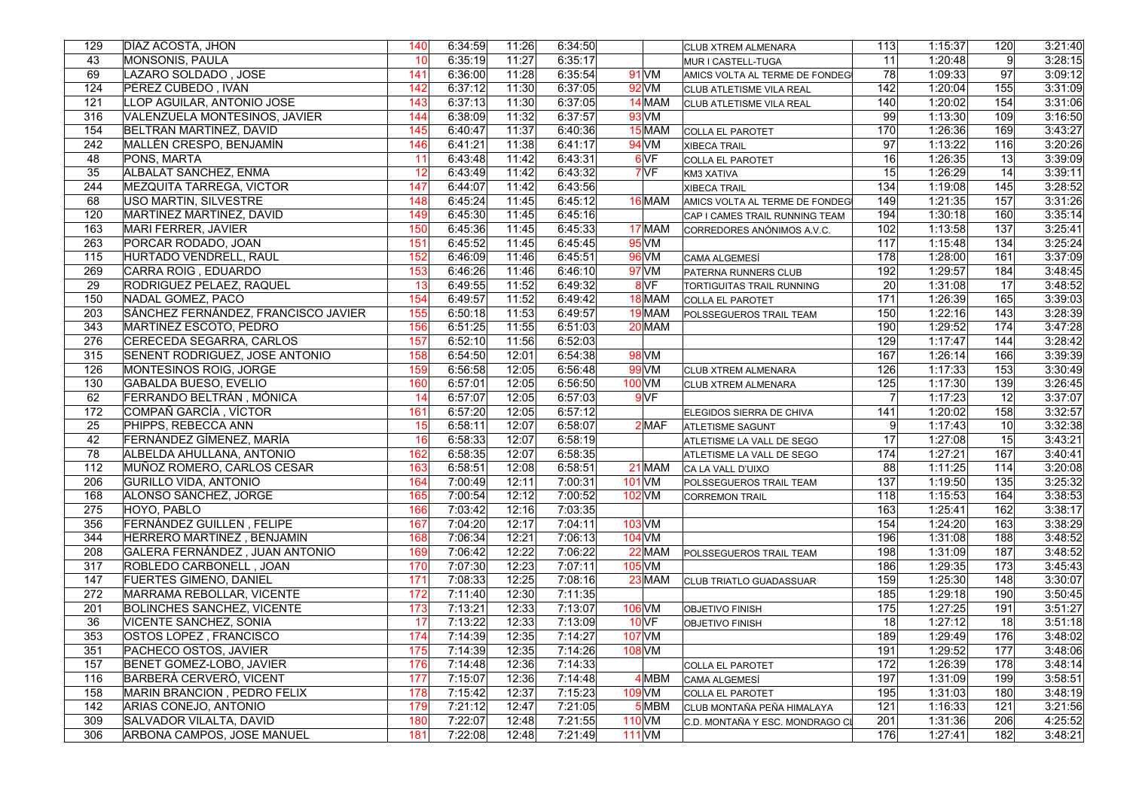| 129             | DÍAZ ACOSTA, JHON                   | 140 | 6:34:59 | 11:26 | 6:34:50 |                    | CLUB XTREM ALMENARA              | 113             | 1:15:37 | 120             | 3:21:40 |
|-----------------|-------------------------------------|-----|---------|-------|---------|--------------------|----------------------------------|-----------------|---------|-----------------|---------|
| 43              | <b>MONSONIS, PAULA</b>              | 10  | 6:35:19 | 11:27 | 6:35:17 |                    | MUR I CASTELL-TUGA               | 11              | 1:20:48 | 9               | 3:28:15 |
| 69              | LAZARO SOLDADO, JOSE                | 141 | 6:36:00 | 11:28 | 6:35:54 | $91$ VM            | AMICS VOLTA AL TERME DE FONDEG   | 78              | 1:09:33 | 97              | 3:09:12 |
| 124             | PÉREZ CUBEDO, IVÁN                  | 142 | 6:37:12 | 11:30 | 6:37:05 | $92$ VM            | CLUB ATLETISME VILA REAL         | 142             | 1:20:04 | 155             | 3:31:09 |
| 121             | LLOP AGUILAR, ANTONIO JOSE          | 143 | 6:37:13 | 11:30 | 6:37:05 | 14 MAM             | CLUB ATLETISME VILA REAL         | 140             | 1:20:02 | 154             | 3:31:06 |
| 316             | VALENZUELA MONTESINOS, JAVIER       | 144 | 6:38:09 | 11:32 | 6:37:57 | 93 VM              |                                  | -99             | 1:13:30 | 109             | 3:16:50 |
| 154             | BELTRAN MARTINEZ, DAVID             | 145 | 6:40:47 | 11:37 | 6:40:36 | 15 MAM             | COLLA EL PAROTET                 | 170             | 1:26:36 | 169             | 3:43:27 |
| 242             | MALLÉN CRESPO, BENJAMÍN             | 146 | 6:41:21 | 11:38 | 6:41:17 | 94 VM              | XIBECA TRAIL                     | 97              | 1:13:22 | 116             | 3:20:26 |
| 48              | PONS, MARTA                         | 11  | 6:43:48 | 11:42 | 6:43:31 | 6 <sub>VF</sub>    | COLLA EL PAROTET                 | 16              | 1:26:35 | 13              | 3:39:09 |
| 35              | <b>ALBALAT SANCHEZ, ENMA</b>        | 12  | 6:43:49 | 11:42 | 6:43:32 | 7VF                | KM3 XATIVA                       | 15              | 1:26:29 | 14              | 3:39:11 |
| 244             | MEZQUITA TARREGA, VICTOR            | 147 | 6:44:07 | 11:42 | 6:43:56 |                    | <b>XIBECA TRAIL</b>              | 134             | 1:19:08 | 145             | 3:28:52 |
| 68              | USO MARTIN, SILVESTRE               | 148 | 6:45:24 | 11:45 | 6:45:12 | 16 MAM             | AMICS VOLTA AL TERME DE FONDEG   | 149             | 1:21:35 | 157             | 3:31:26 |
| 120             | MARTINEZ MARTINEZ, DAVID            | 149 | 6:45:30 | 11:45 | 6:45:16 |                    | CAP I CAMES TRAIL RUNNING TEAM   | 194             | 1:30:18 | 160             | 3:35:14 |
| 163             | MARI FERRER, JAVIER                 | 150 | 6:45:36 | 11:45 | 6:45:33 | 17 MAM             | CORREDORES ANÓNIMOS A.V.C.       | 102             | 1:13:58 | 137             | 3:25:41 |
| 263             | PORCAR RODADO, JOAN                 | 151 | 6:45:52 | 11:45 | 6:45:45 | $95$ VM            |                                  | 117             | 1:15:48 | 134             | 3:25:24 |
| 115             | HURTADO VENDRELL, RAÜL              | 152 | 6:46:09 | 11:46 | 6:45:51 | 96 VM              | CAMA ALGEMESÍ                    | 178             | 1:28:00 | 161             | 3:37:09 |
| 269             | CARRA ROIG, EDUARDO                 | 153 | 6:46:26 | 11:46 | 6:46:10 | $97$ VM            | PATERNA RUNNERS CLUB             | 192             | 1:29:57 | 184             | 3:48:45 |
| 29              | RODRIGUEZ PELAEZ, RAQUEL            | 13  | 6:49:55 | 11:52 | 6:49:32 | 8 <sub>VF</sub>    | <b>TORTIGUITAS TRAIL RUNNING</b> | $\overline{20}$ | 1:31:08 | 17              | 3:48:52 |
| 150             | NADAL GOMEZ, PACO                   | 154 | 6:49:57 | 11:52 | 6:49:42 | 18 MAM             | COLLA EL PAROTET                 | 171             | 1:26:39 | 165             | 3:39:03 |
| 203             | SÁNCHEZ FERNÁNDEZ, FRANCISCO JAVIER | 155 | 6:50:18 | 11:53 | 6:49:57 | 19 MAM             | <b>POLSSEGUEROS TRAIL TEAM</b>   | 150             | 1:22:16 | 143             | 3:28:39 |
| 343             | MARTINEZ ESCOTO, PEDRO              | 156 | 6:51:25 | 11:55 | 6:51:03 | 20 MAM             |                                  | 190             | 1:29:52 | 174             | 3:47:28 |
| 276             | CERECEDA SEGARRA, CARLOS            | 157 | 6:52:10 | 11:56 | 6:52:03 |                    |                                  | 129             | 1:17:47 | 144             | 3:28:42 |
| 315             | SENENT RODRIGUEZ, JOSE ANTONIO      | 158 | 6:54:50 | 12:01 | 6:54:38 | 98 VM              |                                  | 167             | 1:26:14 | 166             | 3:39:39 |
| 126             | MONTESINOS ROIG, JORGE              | 159 | 6:56:58 | 12:05 | 6:56:48 | $99$ VM            | <b>CLUB XTREM ALMENARA</b>       | 126             | 1:17:33 | 153             | 3:30:49 |
| 130             | <b>GABALDA BUESO, EVELIO</b>        | 160 | 6:57:01 | 12:05 | 6:56:50 | 100 <sub>VM</sub>  | <b>CLUB XTREM ALMENARA</b>       | 125             | 1:17:30 | 139             | 3:26:45 |
| 62              | FERRANDO BELTRÁN, MÓNICA            | 14  | 6:57:07 | 12:05 | 6:57:03 | $9V$ F             |                                  | $\overline{7}$  | 1:17:23 | 12              | 3:37:07 |
| 172             | COMPAÑ GARCÍA, VÍCTOR               | 161 | 6:57:20 | 12:05 | 6:57:12 |                    | ELEGIDOS SIERRA DE CHIVA         | 141             | 1:20:02 | 158             | 3:32:57 |
| $\overline{25}$ | PHIPPS, REBECCA ANN                 | 15  | 6:58:11 | 12:07 | 6:58:07 | 2 MAF              | <b>ATLETISME SAGUNT</b>          | 9               | 1:17:43 | 10 <sup>1</sup> | 3:32:38 |
| 42              | FERNÁNDEZ GÍMENEZ, MARÍA            | 16  | 6:58:33 | 12:07 | 6:58:19 |                    | ATLETISME LA VALL DE SEGO        | 17              | 1:27:08 | 15              | 3:43:21 |
| 78              | ALBELDA AHULLANA, ANTONIO           | 162 | 6:58:35 | 12:07 | 6:58:35 |                    | ATLETISME LA VALL DE SEGO        | 174             | 1:27:21 | 167             | 3:40:41 |
| 112             | MUÑOZ ROMERO, CARLOS CESAR          | 163 | 6:58:51 | 12:08 | 6:58:51 | 21 MAM             | CA LA VALL D'UIXO                | 88              | 1:11:25 | 114             | 3:20:08 |
| 206             | <b>GURILLO VIDA, ANTONIO</b>        | 164 | 7:00:49 | 12:11 | 7:00:31 | $101$ VM           | POLSSEGUEROS TRAIL TEAM          | 137             | 1:19:50 | 135             | 3:25:32 |
| 168             | ALONSO SÁNCHEZ, JORGE               | 165 | 7:00:54 | 12:12 | 7:00:52 | 102 VM             | <b>CORREMON TRAIL</b>            | 118             | 1:15:53 | 164             | 3:38:53 |
| 275             | HOYO, PABLO                         | 166 | 7:03:42 | 12:16 | 7:03:35 |                    |                                  | 163             | 1:25:41 | 162             | 3:38:17 |
| 356             | FERNÁNDEZ GUILLEN, FELIPE           | 167 | 7:04:20 | 12:17 | 7:04:11 | $103$ VM           |                                  | 154             | 1:24:20 | 163             | 3:38:29 |
| 344             | HERRERO MARTINEZ, BENJAMIN          | 168 | 7:06:34 | 12:21 | 7:06:13 | $104$ VM           |                                  | 196             | 1:31:08 | 188             | 3:48:52 |
| 208             | GALERA FERNÁNDEZ, JUAN ANTONIO      | 169 | 7:06:42 | 12:22 | 7:06:22 | 22 MAM             | POLSSEGUEROS TRAIL TEAM          | 198             | 1:31:09 | 187             | 3:48:52 |
| 317             | ROBLEDO CARBONELL, JOAN             | 170 | 7:07:30 | 12:23 | 7:07:11 | $105$ VM           |                                  | 186             | 1:29:35 | 173             | 3:45:43 |
| 147             | <b>FUERTES GIMENO, DANIEL</b>       | 171 | 7:08:33 | 12:25 | 7:08:16 | 23 MAM             | CLUB TRIATLO GUADASSUAR          | 159             | 1:25:30 | 148             | 3:30:07 |
| 272             | MARRAMA REBOLLAR, VICENTE           | 172 | 7:11:40 | 12:30 | 7:11:35 |                    |                                  | 185             | 1:29:18 | 190             | 3:50:45 |
| 201             | <b>BOLINCHES SANCHEZ, VICENTE</b>   | 173 | 7:13:21 | 12:33 | 7:13:07 | 106 VM             | <b>OBJETIVO FINISH</b>           | 175             | 1:27:25 | 191             | 3:51:27 |
| 36              | <b>VICENTE SANCHEZ, SONIA</b>       | 17  | 7:13:22 | 12:33 | 7:13:09 | $10$ <sub>VF</sub> | <b>OBJETIVO FINISH</b>           | 18              | 1:27:12 | 18              | 3:51:18 |
| 353             | OSTOS LOPEZ, FRANCISCO              | 174 | 7:14:39 | 12:35 | 7:14:27 | <b>107 VM</b>      |                                  | 189             | 1:29:49 | 176             | 3:48:02 |
| 351             | PACHECO OSTOS, JAVIER               | 175 | 7:14:39 | 12:35 | 7:14:26 | <b>108 VM</b>      |                                  | 191             | 1:29:52 | 177             | 3:48:06 |
| 157             | BENET GOMEZ-LOBO, JAVIER            | 176 | 7:14:48 | 12:36 | 7:14:33 |                    | COLLA EL PAROTET                 | 172             | 1:26:39 | 178             | 3:48:14 |
| 116             | BARBERÀ CERVERÓ, VICENT             | 177 | 7:15:07 | 12:36 | 7:14:48 | 4 MBM              | CAMA ALGEMESÍ                    | 197             | 1:31:09 | 199             | 3:58:51 |
| 158             | MARIN BRANCION, PEDRO FELIX         | 178 | 7:15:42 | 12:37 | 7:15:23 | 109 <sub>VM</sub>  | COLLA EL PAROTET                 | 195             | 1:31:03 | 180             | 3:48:19 |
| 142             | ARIAS CONEJO, ANTONIO               | 179 | 7:21:12 | 12:47 | 7:21:05 | 5 MBM              | CLUB MONTAÑA PEÑA HIMALAYA       | 121             | 1:16:33 | 121             | 3:21:56 |
| 309             | SALVADOR VILALTA, DAVID             | 180 | 7:22:07 | 12:48 | 7:21:55 | 110 <sub>VM</sub>  | C.D. MONTAÑA Y ESC. MONDRAGO CI  | 201             | 1:31:36 | 206             | 4:25:52 |
| 306             | ARBONA CAMPOS, JOSE MANUEL          | 181 | 7:22:08 | 12:48 | 7:21:49 | $111$ VM           |                                  | 176             | 1:27:41 | 182             | 3:48:21 |